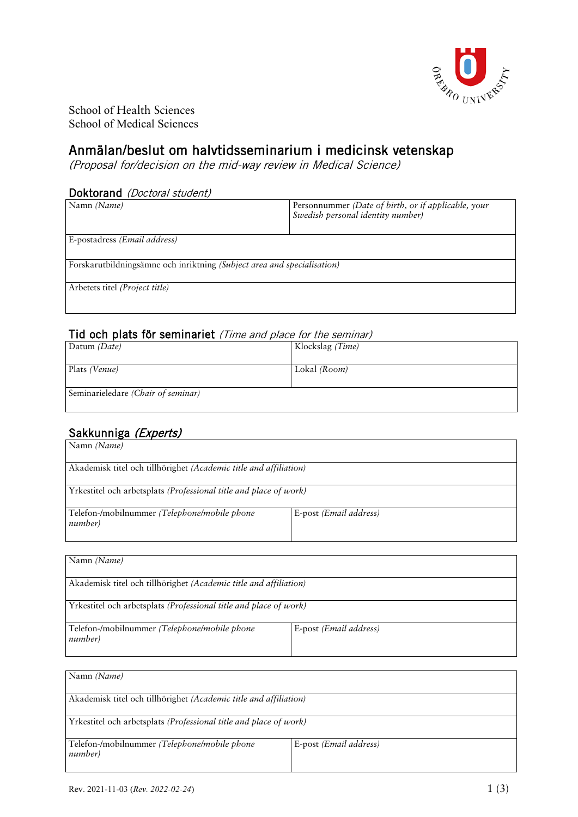

School of Health Sciences School of Medical Sciences

# Anmälan/beslut om halvtidsseminarium i medicinsk vetenskap

(Proposal for/decision on the mid-way review in Medical Science)

#### Doktorand (Doctoral student)

| Namn (Name)                                                             | Personnummer (Date of birth, or if applicable, your |  |
|-------------------------------------------------------------------------|-----------------------------------------------------|--|
|                                                                         | Swedish personal identity number)                   |  |
|                                                                         |                                                     |  |
| E-postadress (Email address)                                            |                                                     |  |
|                                                                         |                                                     |  |
| Forskarutbildningsämne och inriktning (Subject area and specialisation) |                                                     |  |
|                                                                         |                                                     |  |
| Arbetets titel ( <i>Project title</i> )                                 |                                                     |  |
|                                                                         |                                                     |  |
|                                                                         |                                                     |  |

### Tid och plats för seminariet (Time and place for the seminar)

| Datum (Date)                       | Klockslag (Time) |
|------------------------------------|------------------|
| Plats (Venue)                      | Lokal (Room)     |
| Seminarieledare (Chair of seminar) |                  |

# Sakkunniga (Experts)

| Namn (Name)                                                       |                                 |  |
|-------------------------------------------------------------------|---------------------------------|--|
| Akademisk titel och tillhörighet (Academic title and affiliation) |                                 |  |
| Yrkestitel och arbetsplats (Professional title and place of work) |                                 |  |
| Telefon-/mobilnummer (Telephone/mobile phone<br>number)           | E-post ( <i>Email address</i> ) |  |

| Namn (Name)                                                       |                                 |  |
|-------------------------------------------------------------------|---------------------------------|--|
| Akademisk titel och tillhörighet (Academic title and affiliation) |                                 |  |
| Yrkestitel och arbetsplats (Professional title and place of work) |                                 |  |
| Telefon-/mobilnummer (Telephone/mobile phone<br>number)           | E-post ( <i>Email address</i> ) |  |

| Namn (Name)                                                       |                        |  |
|-------------------------------------------------------------------|------------------------|--|
| Akademisk titel och tillhörighet (Academic title and affiliation) |                        |  |
| Yrkestitel och arbetsplats (Professional title and place of work) |                        |  |
| Telefon-/mobilnummer (Telephone/mobile phone<br>number)           | E-post (Email address) |  |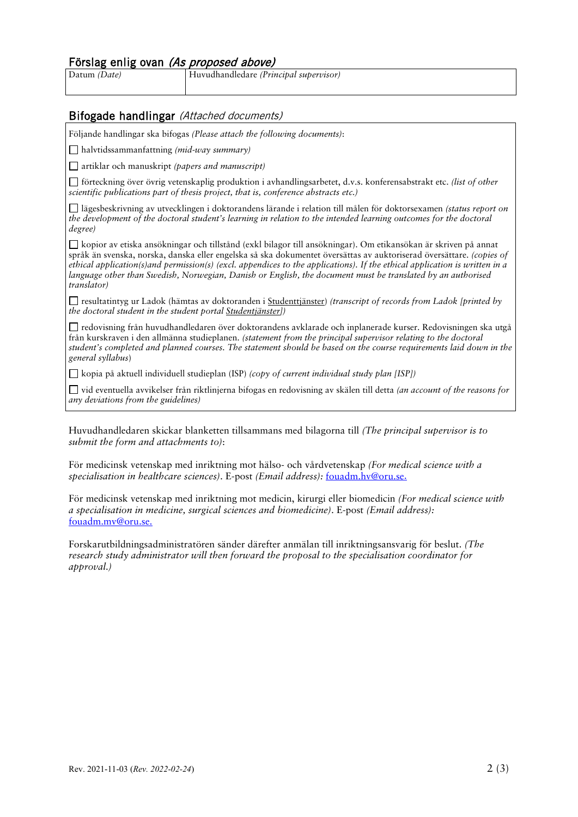### Förslag enlig ovan (As proposed above)

Datum *(Date)* Huvudhandledare *(Principal supervisor)*

### Bifogade handlingar (Attached documents)

Följande handlingar ska bifogas *(Please attach the following documents)*:

halvtidssammanfattning *(mid-way summary)*

artiklar och manuskript *(papers and manuscript)*

förteckning över övrig vetenskaplig produktion i avhandlingsarbetet, d.v.s. konferensabstrakt etc. *(list of other scientific publications part of thesis project, that is, conference abstracts etc.)*

lägesbeskrivning av utvecklingen i doktorandens lärande i relation till målen för doktorsexamen *(status report on the development of the doctoral student's learning in relation to the intended learning outcomes for the doctoral degree)*

kopior av etiska ansökningar och tillstånd (exkl bilagor till ansökningar). Om etikansökan är skriven på annat språk än svenska, norska, danska eller engelska så ska dokumentet översättas av auktoriserad översättare. *(copies of ethical application(s)and permission(s) (excl. appendices to the applications). If the ethical application is written in a language other than Swedish, Norwegian, Danish or English, the document must be translated by an authorised translator)*

resultatintyg ur Ladok (hämtas av doktoranden i [Studenttjänster\)](https://www.oru.se/utbildning/jag-ar-student/mina-studier/studenttjanster/) *(transcript of records from Ladok [printed by the doctoral student in the student portal [Studentjänster\]](https://www.oru.se/english/study/student-services/studenttjanster/))*

redovisning från huvudhandledaren över doktorandens avklarade och inplanerade kurser. Redovisningen ska utgå från kurskraven i den allmänna studieplanen. *(statement from the principal supervisor relating to the doctoral student's completed and planned courses. The statement should be based on the course requirements laid down in the general syllabus*)

kopia på aktuell individuell studieplan (ISP) *(copy of current individual study plan [ISP])*

vid eventuella avvikelser från riktlinjerna bifogas en redovisning av skälen till detta *(an account of the reasons for any deviations from the guidelines)*

Huvudhandledaren skickar blanketten tillsammans med bilagorna till *(The principal supervisor is to submit the form and attachments to)*:

För medicinsk vetenskap med inriktning mot hälso- och vårdvetenskap *(For medical science with a specialisation in healthcare sciences)*. E-post *(Email address):* [fouadm.hv@oru.se.](mailto:fouadm.HV@oru.se)

För medicinsk vetenskap med inriktning mot medicin, kirurgi eller biomedicin *(For medical science with a specialisation in medicine, surgical sciences and biomedicine)*. E-post *(Email address):* [fouadm.mv@oru.se.](mailto:fouadm.mv@oru.se)

Forskarutbildningsadministratören sänder därefter anmälan till inriktningsansvarig för beslut. *(The research study administrator will then forward the proposal to the specialisation coordinator for approval.)*